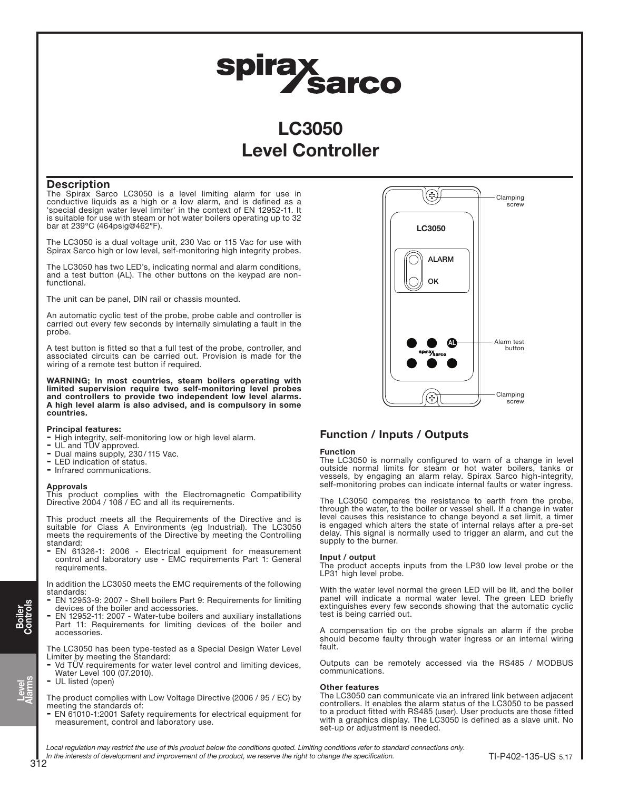# spirax<br>Sarco

## LC3050 Level Controller

#### **Description**

The Spirax Sarco LC3050 is a level limiting alarm for use in conductive liquids as a high or a low alarm, and is defined as a 'special design water level limiter' in the context of EN 12952-11. It is suitable for use with steam or hot water boilers operating up to 32 bar at 239ºC (464psig@462°F).

The LC3050 is a dual voltage unit, 230 Vac or 115 Vac for use with Spirax Sarco high or low level, self-monitoring high integrity probes.

The LC3050 has two LED's, indicating normal and alarm conditions, and a test button (AL). The other buttons on the keypad are nonfunctional.

The unit can be panel, DIN rail or chassis mounted.

An automatic cyclic test of the probe, probe cable and controller is carried out every few seconds by internally simulating a fault in the probe.

A test button is fitted so that a full test of the probe, controller, and associated circuits can be carried out. Provision is made for the wiring of a remote test button if required.

WARNING; In most countries, steam boilers operating with limited supervision require two self-monitoring level probes and controllers to provide two independent low level alarms. A high level alarm is also advised, and is compulsory in some countries.

#### Principal features:

- High integrity, self-monitoring low or high level alarm.
- UL and TÜV approved.
- Dual mains supply, 230/115 Vac.
- LED indication of status.
- Infrared communications.

#### Approvals

This product complies with the Electromagnetic Compatibility Directive 2004 / 108 / EC and all its requirements.

This product meets all the Requirements of the Directive and is suitable for Class A Environments (eg Industrial). The LC3050 meets the requirements of the Directive by meeting the Controlling standard:

- EN 61326-1: 2006 - Electrical equipment for measurement control and laboratory use - EMC requirements Part 1: General requirements.

In addition the LC3050 meets the EMC requirements of the following standards:

- EN 12953-9: 2007 Shell boilers Part 9: Requirements for limiting devices of the boiler and accessories.
- EN 12952-11: 2007 Water-tube boilers and auxiliary installations Part 11: Requirements for limiting devices of the boiler and accessories.

The LC3050 has been type-tested as a Special Design Water Level Limiter by meeting the Standard:

- Vd TÜV requirements for water level control and limiting devices, Water Level 100 (07.2010).
- UL listed (open)

The product complies with Low Voltage Directive (2006 / 95 / EC) by meeting the standards of:

- EN 61010-1:2001 Safety requirements for electrical equipment for measurement, control and laboratory use.



### Function / Inputs / Outputs

#### Function

The LC3050 is normally configured to warn of a change in level outside normal limits for steam or hot water boilers, tanks or vessels, by engaging an alarm relay. Spirax Sarco high-integrity, self-monitoring probes can indicate internal faults or water ingress.

The LC3050 compares the resistance to earth from the probe, through the water, to the boiler or vessel shell. If a change in water level causes this resistance to change beyond a set limit, a timer is engaged which alters the state of internal relays after a pre-set delay. This signal is normally used to trigger an alarm, and cut the supply to the burner.

#### Input / output

The product accepts inputs from the LP30 low level probe or the LP31 high level probe.

With the water level normal the green LED will be lit, and the boiler panel will indicate a normal water level. The green LED briefly extinguishes every few seconds showing that the automatic cyclic test is being carried out.

A compensation tip on the probe signals an alarm if the probe should become faulty through water ingress or an internal wiring fault.

Outputs can be remotely accessed via the RS485 / MODBUS communications.

#### Other features

The LC3050 can communicate via an infrared link between adjacent controllers. It enables the alarm status of the LC3050 to be passed to a product fitted with RS485 (user). User products are those fitted with a graphics display. The LC3050 is defined as a slave unit. No set-up or adjustment is needed.

Local requlation may restrict the use of this product below the conditions quoted. Limiting conditions refer to standard connections only. In the interests of development and improvement of the product, we reserve the right to change the specification.<br>312

Level Alarms

Boiler Controls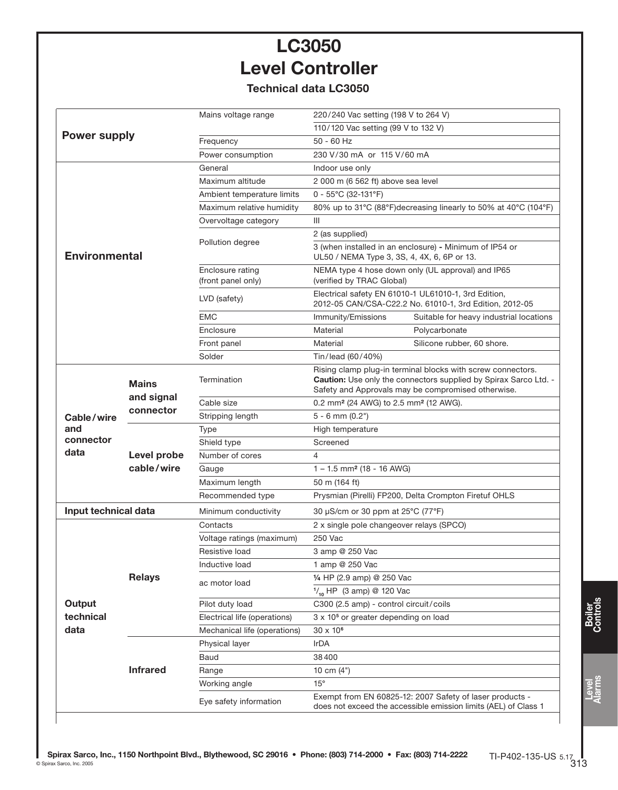# LC3050 Level Controller

## Technical data LC3050

|                                              | Mains voltage range                    | 220/240 Vac setting (198 V to 264 V)                                                                                                                                                  |                                         |
|----------------------------------------------|----------------------------------------|---------------------------------------------------------------------------------------------------------------------------------------------------------------------------------------|-----------------------------------------|
|                                              |                                        | 110/120 Vac setting (99 V to 132 V)                                                                                                                                                   |                                         |
|                                              | Frequency                              | $50 - 60$ Hz                                                                                                                                                                          |                                         |
|                                              | Power consumption                      | 230 V/30 mA or 115 V/60 mA                                                                                                                                                            |                                         |
|                                              | General                                | Indoor use only                                                                                                                                                                       |                                         |
|                                              | Maximum altitude                       | 2 000 m (6 562 ft) above sea level                                                                                                                                                    |                                         |
|                                              | Ambient temperature limits             | $0 - 55^{\circ}$ C (32-131°F)                                                                                                                                                         |                                         |
|                                              | Maximum relative humidity              | 80% up to 31°C (88°F) decreasing linearly to 50% at 40°C (104°F)                                                                                                                      |                                         |
|                                              | Overvoltage category                   | $\mathbf{III}$                                                                                                                                                                        |                                         |
|                                              | Pollution degree                       | 2 (as supplied)                                                                                                                                                                       |                                         |
| <b>Environmental</b>                         |                                        | 3 (when installed in an enclosure) - Minimum of IP54 or<br>UL50 / NEMA Type 3, 3S, 4, 4X, 6, 6P or 13.                                                                                |                                         |
|                                              | Enclosure rating<br>(front panel only) | NEMA type 4 hose down only (UL approval) and IP65<br>(verified by TRAC Global)                                                                                                        |                                         |
|                                              | LVD (safety)                           | Electrical safety EN 61010-1 UL61010-1, 3rd Edition,<br>2012-05 CAN/CSA-C22.2 No. 61010-1, 3rd Edition, 2012-05                                                                       |                                         |
|                                              | <b>EMC</b>                             | Immunity/Emissions                                                                                                                                                                    | Suitable for heavy industrial locations |
|                                              | Enclosure                              | Material                                                                                                                                                                              | Polycarbonate                           |
|                                              | Front panel                            | Material                                                                                                                                                                              | Silicone rubber, 60 shore.              |
|                                              | Solder                                 | Tin/lead (60/40%)                                                                                                                                                                     |                                         |
| <b>Mains</b>                                 | Termination                            | Rising clamp plug-in terminal blocks with screw connectors.<br>Caution: Use only the connectors supplied by Spirax Sarco Ltd. -<br>Safety and Approvals may be compromised otherwise. |                                         |
| connector<br>Cable/wire                      | Cable size                             | 0.2 mm <sup>2</sup> (24 AWG) to 2.5 mm <sup>2</sup> (12 AWG).                                                                                                                         |                                         |
|                                              | Stripping length                       | $5 - 6$ mm $(0.2")$                                                                                                                                                                   |                                         |
| and                                          | <b>Type</b>                            | High temperature                                                                                                                                                                      |                                         |
|                                              | Shield type                            | Screened                                                                                                                                                                              |                                         |
| data<br>Level probe<br>cable/wire            | Number of cores                        | 4                                                                                                                                                                                     |                                         |
|                                              | Gauge                                  | $1 - 1.5$ mm <sup>2</sup> (18 - 16 AWG)                                                                                                                                               |                                         |
|                                              | Maximum length                         | 50 m (164 ft)                                                                                                                                                                         |                                         |
|                                              | Recommended type                       | Prysmian (Pirelli) FP200, Delta Crompton Firetuf OHLS                                                                                                                                 |                                         |
| Input technical data<br>Minimum conductivity |                                        | 30 µS/cm or 30 ppm at 25°C (77°F)                                                                                                                                                     |                                         |
| <b>Relays</b>                                | Contacts                               | 2 x single pole changeover relays (SPCO)                                                                                                                                              |                                         |
|                                              | Voltage ratings (maximum)              | 250 Vac                                                                                                                                                                               |                                         |
|                                              | Resistive load                         | 3 amp @ 250 Vac                                                                                                                                                                       |                                         |
|                                              | Inductive load                         | 1 amp @ 250 Vac                                                                                                                                                                       |                                         |
|                                              |                                        | 1/4 HP (2.9 amp) @ 250 Vac                                                                                                                                                            |                                         |
|                                              |                                        | $\frac{1}{10}$ HP (3 amp) @ 120 Vac                                                                                                                                                   |                                         |
|                                              | Pilot duty load                        | C300 (2.5 amp) - control circuit/coils                                                                                                                                                |                                         |
|                                              | Electrical life (operations)           | 3 x 10 <sup>5</sup> or greater depending on load                                                                                                                                      |                                         |
|                                              | Mechanical life (operations)           | 30 x 10 <sup>6</sup>                                                                                                                                                                  |                                         |
|                                              | Physical layer                         | IrDA                                                                                                                                                                                  |                                         |
|                                              | Baud                                   | 38400                                                                                                                                                                                 |                                         |
| <b>Infrared</b>                              | Range                                  | 10 cm $(4")$                                                                                                                                                                          |                                         |
|                                              | Working angle                          | $15^{\circ}$                                                                                                                                                                          |                                         |
|                                              | Eye safety information                 | Exempt from EN 60825-12: 2007 Safety of laser products -<br>does not exceed the accessible emission limits (AEL) of Class 1                                                           |                                         |
|                                              | <b>Power supply</b><br>and signal      | ac motor load                                                                                                                                                                         |                                         |

Level Alarms